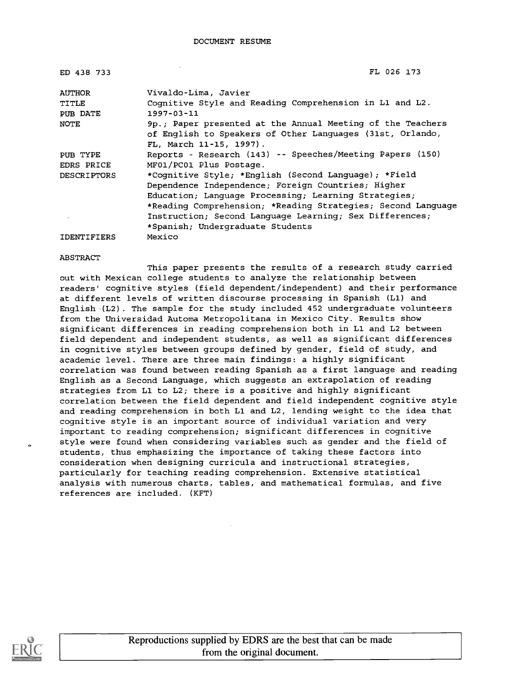| ED 438 733         | FL 026 173                                                   |
|--------------------|--------------------------------------------------------------|
| <b>AUTHOR</b>      | Vivaldo-Lima, Javier                                         |
| TITLE              | Coqnitive Style and Reading Comprehension in L1 and L2.      |
| PUB DATE           | $1997 - 03 - 11$                                             |
| NOTE               | 9p.; Paper presented at the Annual Meeting of the Teachers   |
|                    | of English to Speakers of Other Languages (31st, Orlando,    |
|                    | FL, March 11-15, 1997).                                      |
| PUB TYPE           | Reports - Research (143) -- Speeches/Meeting Papers (150)    |
| EDRS PRICE         | MF01/PC01 Plus Postage.                                      |
| <b>DESCRIPTORS</b> | *Cognitive Style; *English (Second Language); *Field         |
|                    | Dependence Independence; Foreign Countries; Higher           |
|                    | Education; Language Processing; Learning Strategies;         |
|                    | *Reading Comprehension; *Reading Strategies; Second Language |
|                    | Instruction; Second Language Learning; Sex Differences;      |
|                    | *Spanish; Undergraduate Students                             |
| <b>IDENTIFIERS</b> | Mexico                                                       |

ABSTRACT

This paper presents the results of a research study carried out with Mexican college students to analyze the relationship between readers' cognitive styles (field dependent/independent) and their performance at different levels of written discourse processing in Spanish (L1) and English (L2). The sample for the study included 452 undergraduate volunteers from the Universidad Automa Metropolitana in Mexico City. Results show significant differences in reading comprehension both in Ll and L2 between field dependent and independent students, as well as significant differences in cognitive styles between groups defined by gender, field of study, and academic level. There are three main findings: a highly significant correlation was found between reading Spanish as a first language and reading English as a Second Language, which suggests an extrapolation of reading strategies from Ll to L2; there is a positive and highly significant correlation between the field dependent and field independent cognitive style and reading comprehension in both Ll and L2, lending weight to the idea that cognitive style is an important source of individual variation and very important to reading comprehension; significant differences in cognitive style were found when considering variables such as gender and the field of students, thus emphasizing the importance of taking these factors into consideration when designing curricula and instructional strategies, particularly for teaching reading comprehension. Extensive statistical analysis with numerous charts, tables, and mathematical formulas, and five references are included. (KFT)



 $\circ$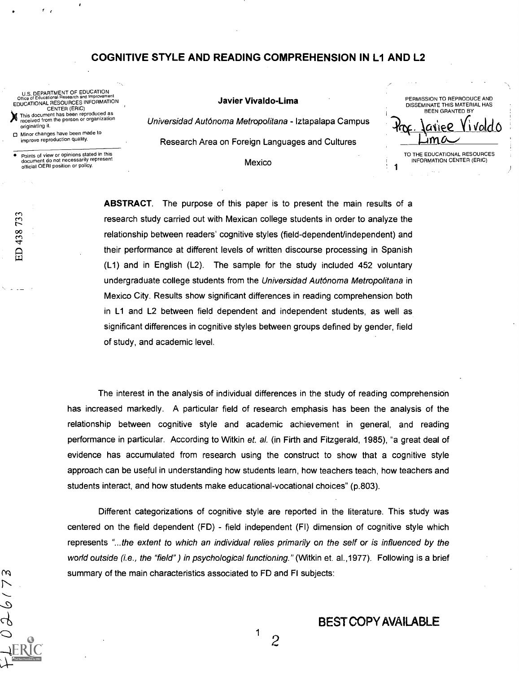### COGNITIVE STYLE AND READING COMPREHENSION IN Ll AND L2

U.S. DEPARTMENT OF EDUCATION<br>Office of Educational Research and Improveme Office of Educational Research and Improvement<br>EDUCATIONAL RESOURCES INFORMATION CENTER (ERIC)<br>This document has been reproduced as ceived from the person or organization originating it.

Minor changes have been made to improve reproduction quality.

Points of view or opinions stated in this document do not necessarily represent official OERI position or policy.

ED 438 733

 $\infty$ 

᠊ᢗ

Javier Vivaldo-Lima

PERMISSION TO REPRODUCE AND DISSEMINATE THIS MATERIAL HAS BEEN GRANTED BY tof Jariee Vivoldo TO THE EDUCATIONAL RESOURCES INFORMATION CENTER (ERIC)

1

Universidad Aut6noma Metropolitana - lztapalapa Campus Research Area on Foreign Languages and Cultures

**Mexico** 

ABSTRACT. The purpose of this paper is to present the main results of a research study carried out with Mexican college students in order to analyze the relationship between readers' cognitive styles (field-dependent/independent) and their performance at different levels of written discourse processing in Spanish (L1) and in English (L2). The sample for the study included 452 voluntary undergraduate college students from the Universidad Aut6noma Metropolitana in Mexico City. Results show significant differences in reading comprehension both in L1 and L2 between field dependent and independent students, as well as significant differences in cognitive styles between groups defined by gender, field of study, and academic level.

The interest in the analysis of individual differences in the study of reading comprehensidn has increased markedly. A particular field of research emphasis has been the analysis of the relationship between cognitive style and academic achievement in general, and reading performance in particular. According to Witkin et. al. (in Firth and Fitzgerald, 1985), "a great deal of evidence has accumulated from research using the construct to show that a cognitive style approach can be useful in understanding how students learn, how teachers teach, how teachers and students interact, and how students make educational-vocational choices" (p.803).

Different categorizations of cognitive style are reported in the literature. This study was centered on the field dependent  $(FD)$  - field independent  $(FI)$  dimension of cognitive style which represents "... the extent to which an individual relies primarily on the self or is influenced by the world outside (i.e., the "field") in psychological functioning." (Witkin et. al., 1977). Following is a brief summary of the main characteristics associated to FD and Fl subjects:

 $\begin{array}{c} \n\cdot & 2\n\end{array}$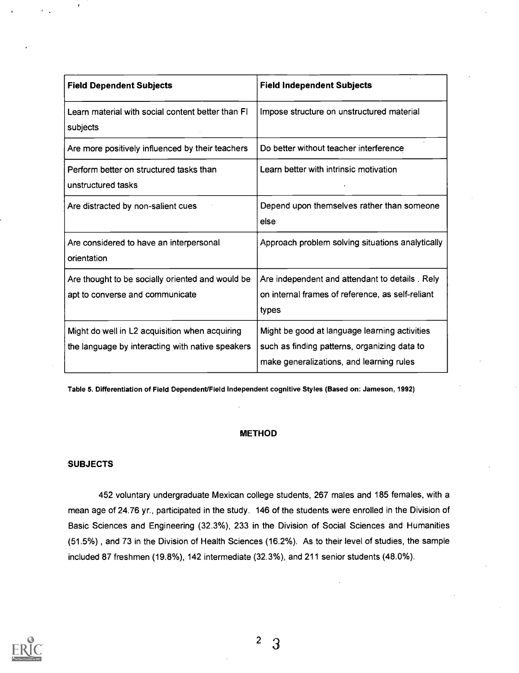| <b>Field Dependent Subjects</b>                                                                    | <b>Field Independent Subjects</b>                                                                                                         |
|----------------------------------------------------------------------------------------------------|-------------------------------------------------------------------------------------------------------------------------------------------|
| Learn material with social content better than FI<br>subjects                                      | Impose structure on unstructured material                                                                                                 |
| Are more positively influenced by their teachers                                                   | Do better without teacher interference                                                                                                    |
| Perform better on structured tasks than<br>unstructured tasks                                      | Learn better with intrinsic motivation                                                                                                    |
| Are distracted by non-salient cues                                                                 | Depend upon themselves rather than someone<br>else                                                                                        |
| Are considered to have an interpersonal<br>orientation                                             | Approach problem solving situations analytically                                                                                          |
| Are thought to be socially oriented and would be<br>apt to converse and communicate                | Are independent and attendant to details . Rely<br>on internal frames of reference, as self-reliant<br>types                              |
| Might do well in L2 acquisition when acquiring<br>the language by interacting with native speakers | Might be good at language learning activities<br>such as finding patterns, organizing data to<br>make generalizations, and learning rules |

Table 5. Differentiation of Field Dependent/Field Independent cognitive Styles (Based on: Jameson, 1992)

#### METHOD

#### **SUBJECTS**

452 voluntary undergraduate Mexican college students, 267 males and 185 females, with a mean age of 24.76 yr., participated in the study. 146 of the students were enrolled in the Division of Basic Sciences and Engineering (32.3%), 233 in the Division of Social Sciences and Humanities (51.5%) , and 73 in the Division of Health Sciences (16.2%). As to their level of studies, the sample included 87 freshmen (19.8%), 142 intermediate (32.3%), and 211 senior students (48.0%).

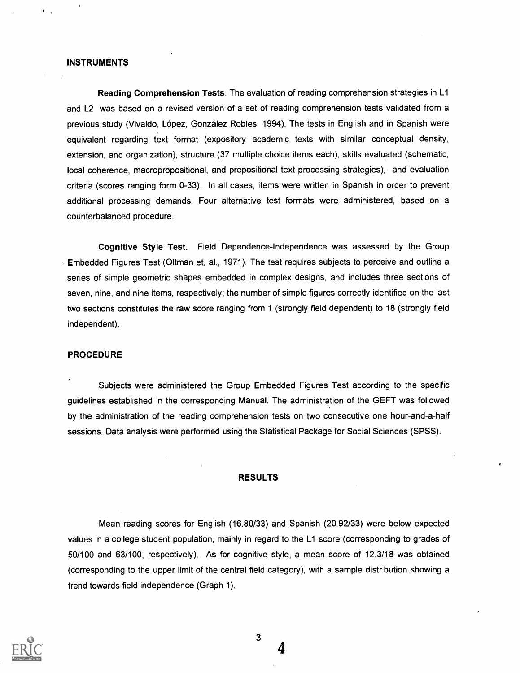#### INSTRUMENTS

Reading Comprehension Tests. The evaluation of reading comprehension strategies in L1 and L2 was based on a revised version of a set of reading comprehension tests validated from a previous study (Vivaldo, Lopez, Gonzalez Robles, 1994). The tests in English and in Spanish were equivalent regarding text format (expository academic texts with similar conceptual density, extension, and organization), structure (37 multiple choice items each), skills evaluated (schematic, local coherence, macropropositional, and prepositional text processing strategies), and evaluation criteria (scores ranging form 0-33). In all cases, items were written in Spanish in order to prevent additional processing demands. Four alternative test formats were administered, based on a counterbalanced procedure.

Cognitive Style Test. Field Dependence-Independence was assessed by the Group Embedded Figures Test (Oltman et. al., 1971). The test requires subjects to perceive and outline a series of simple geometric shapes embedded in complex designs, and includes three sections of seven, nine, and nine items, respectively; the number of simple figures correctly identified on the last two sections constitutes the raw score ranging from 1 (strongly field dependent) to 18 (strongly field independent).

#### PROCEDURE

Subjects were administered the Group Embedded Figures Test according to the specific guidelines established in the corresponding Manual. The administration of the GEFT was followed by the administration of the reading comprehension tests on two consecutive one hour-and-a-half sessions. Data analysis were performed using the Statistical Package for Social Sciences (SPSS).

#### RESULTS

Mean reading scores for English (16.80/33) and Spanish (20.92/33) were below expected values in a college student population, mainly in regard to the L1 score (corresponding to grades of 50/100 and 63/100, respectively). As for cognitive style, a mean score of 12.3/18 was obtained (corresponding to the upper limit of the central field category), with a sample distribution showing a trend towards field independence (Graph 1).

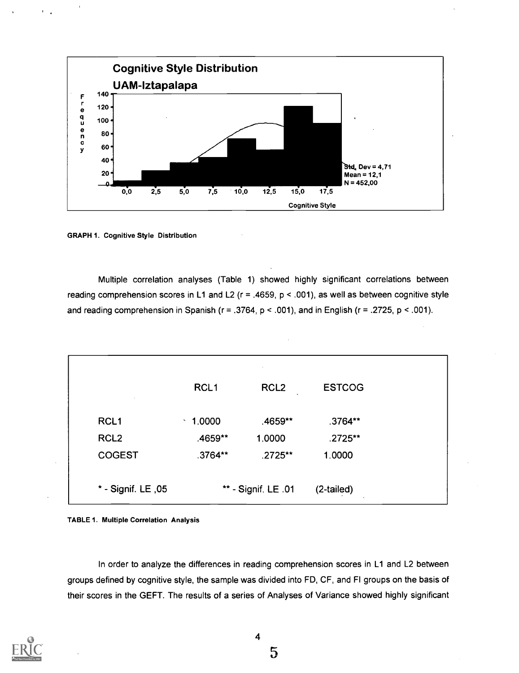

GRAPH 1. Cognitive Style Distribution

Multiple correlation analyses (Table 1) showed highly significant correlations between reading comprehension scores in L1 and L2 (r = .4659, p < .001), as well as between cognitive style and reading comprehension in Spanish ( $r = .3764$ ,  $p < .001$ ), and in English ( $r = .2725$ ,  $p < .001$ ).

|                     | RCL <sub>1</sub> | RCL <sub>2</sub>    | <b>ESTCOG</b> |
|---------------------|------------------|---------------------|---------------|
| RCL <sub>1</sub>    | 1.0000<br>×.     | .4659**             | .3764**       |
| RCL <sub>2</sub>    | .4659**          | 1.0000              | .2725**       |
| <b>COGEST</b>       | .3764**          | .2725**             | 1.0000        |
|                     |                  |                     |               |
| * - Signif. LE , 05 |                  | ** - Signif. LE .01 | $(2-tailed)$  |

TABLE 1. Multiple Correlation Analysis

In order to analyze the differences in reading comprehension scores in L1 and L2 between groups defined by cognitive style, the sample was divided into FD, CF, and Fl groups on the basis of their scores in the GEFT. The results of a series of Analyses of Variance showed highly significant

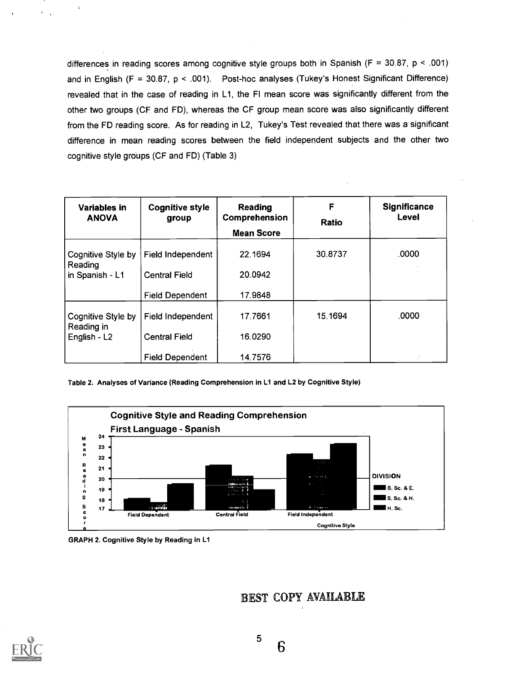differences in reading scores among cognitive style groups both in Spanish (F = 30.87, p < .001) and in English  $(F = 30.87, p < .001)$ . Post-hoc analyses (Tukey's Honest Significant Difference) revealed that in the case of reading in L1, the Fl mean score was significantly different from the other two groups (CF and FD), whereas the CF group mean score was also significantly different from the FD reading score. As for reading in L2, Tukey's Test revealed that there was a significant difference in mean reading scores between the field independent subjects and the other two cognitive style groups (CF and FD) (Table 3)

| Variables in<br><b>ANOVA</b>     | <b>Cognitive style</b><br>group | <b>Reading</b><br>Comprehension<br><b>Mean Score</b> | F<br><b>Ratio</b> | <b>Significance</b><br>Level |
|----------------------------------|---------------------------------|------------------------------------------------------|-------------------|------------------------------|
| Cognitive Style by<br>Reading    | <b>Field Independent</b>        | 22.1694                                              | 30.8737           | .0000                        |
| in Spanish - L1                  | <b>Central Field</b>            | 20.0942                                              |                   |                              |
|                                  | <b>Field Dependent</b>          | 17.9848                                              |                   |                              |
| Cognitive Style by<br>Reading in | Field Independent               | 17.7661                                              | 15.1694           | .0000                        |
| English - L2                     | <b>Central Field</b>            | 16.0290                                              |                   |                              |
|                                  | <b>Field Dependent</b>          | 14 7576                                              |                   |                              |

Table 2. Analyses of Variance (Reading Comprehension in L1 and L2 by Cognitive Style)



GRAPH 2. Cognitive Style by Reading in Ll

BEST COPY AVAILABLE

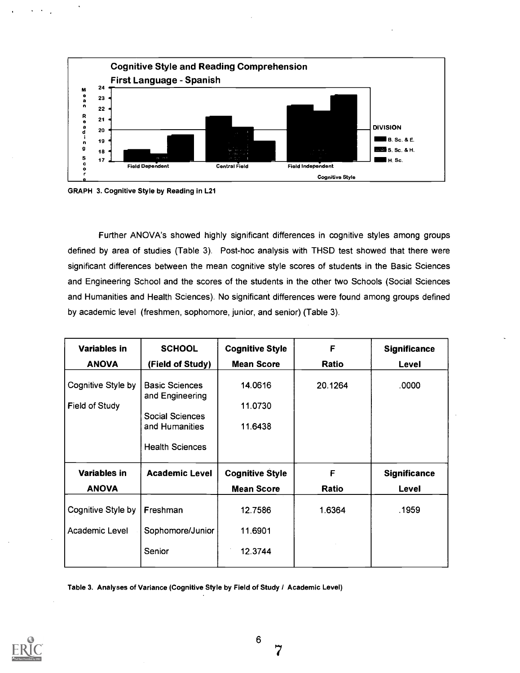

GRAPH 3. Cognitive Style by Reading in L21

Further ANOVA's showed highly significant differences in cognitive styles among groups defined by area of studies (Table 3). Post-hoc analysis with THSD test showed that there were significant differences between the mean cognitive style scores of students in the Basic Sciences and Engineering School and the scores of the students in the other two Schools (Social Sciences and Humanities and Health Sciences). No significant differences were found among groups defined by academic level (freshmen, sophomore, junior, and senior) (Table 3).

| <b>Variables in</b>   | <b>SCHOOL</b>          | <b>Cognitive Style</b> | F       | <b>Significance</b> |
|-----------------------|------------------------|------------------------|---------|---------------------|
| <b>ANOVA</b>          | (Field of Study)       | <b>Mean Score</b>      | Ratio   | Level               |
| Cognitive Style by    | <b>Basic Sciences</b>  | 14.0616                | 20.1264 | .0000               |
|                       | and Engineering        |                        |         |                     |
| <b>Field of Study</b> | Social Sciences        | 11.0730                |         |                     |
|                       | and Humanities         | 11.6438                |         |                     |
|                       | <b>Health Sciences</b> |                        |         |                     |
|                       |                        |                        |         |                     |
| Variables in          | <b>Academic Level</b>  | <b>Cognitive Style</b> | F       | <b>Significance</b> |
| <b>ANOVA</b>          |                        | <b>Mean Score</b>      | Ratio   | Level               |
| Cognitive Style by    | Freshman               | 12.7586                | 1.6364  | .1959               |
|                       |                        |                        |         |                     |
| Academic Level        | Sophomore/Junior       | 11.6901                |         |                     |
|                       | Senior                 | 12.3744                |         |                     |
|                       |                        |                        |         |                     |

Table 3. Analyses of Variance (Cognitive Style by Field of Study / Academic Level)

![](_page_6_Picture_5.jpeg)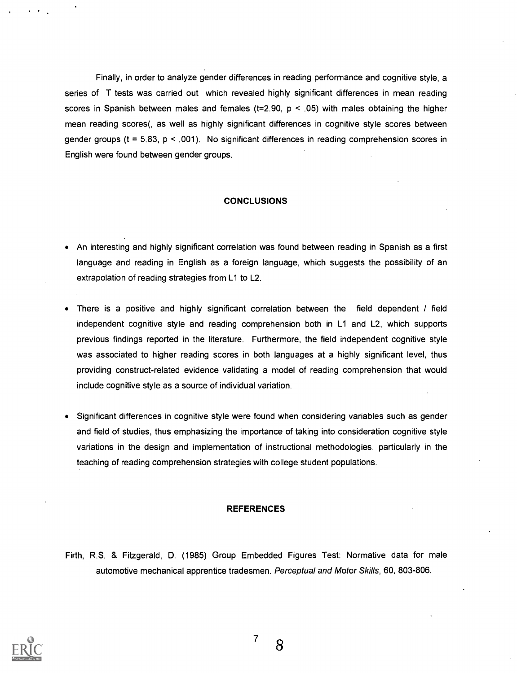Finally, in order to analyze gender differences in reading performance and cognitive style, a series of T tests was carried out which revealed highly significant differences in mean reading scores in Spanish between males and females (t=2.90,  $p \le 0.05$ ) with males obtaining the higher mean reading scores(, as well as highly significant differences in cognitive style scores between gender groups ( $t = 5.83$ ,  $p < .001$ ). No significant differences in reading comprehension scores in English were found between gender groups.

#### **CONCLUSIONS**

- An interesting and highly significant correlation was found between reading in Spanish as a first language and reading in English as a foreign language, which suggests the possibility of an extrapolation of reading strategies from L1 to L2.
- There is a positive and highly significant correlation between the field dependent / field independent cognitive style and reading comprehension both in L1 and L2, which supports previous findings reported in the literature. Furthermore, the field independent cognitive style was associated to higher reading scores in both languages at a highly significant level, thus providing construct-related evidence validating a model of reading comprehension that would include cognitive style as a source of individual variation.
- Significant differences in cognitive style were found when considering variables such as gender and field of studies, thus emphasizing the importance of taking into consideration cognitive style variations in the design and implementation of instructional methodologies, particularly in the teaching of reading comprehension strategies with college student populations.

#### REFERENCES

Firth, R.S. & Fitzgerald, D. (1985) Group Embedded Figures Test: Normative data for male automotive mechanical apprentice tradesmen. Perceptual and Motor Skills, 60, 803-806.

![](_page_7_Picture_7.jpeg)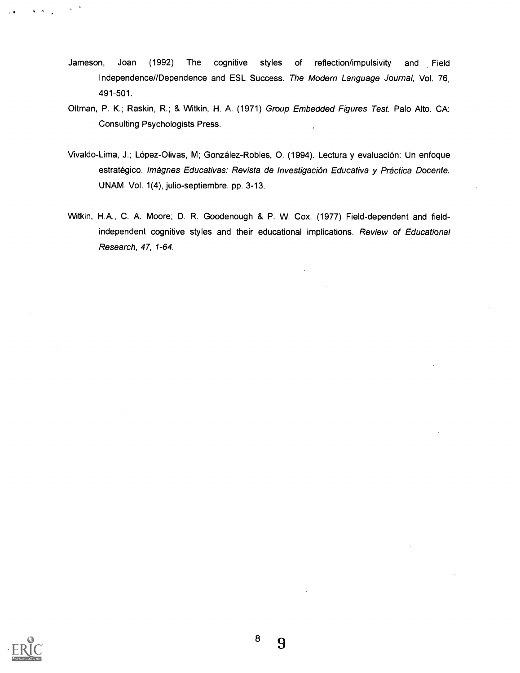- Jameson, Joan (1992) The cognitive styles of reflection/impulsivity and Field Independence//Dependence and ESL Success. The Modern Language Journal, Vol. 76, 491-501.
- Oltman, P. K.; Raskin, R.; & Witkin, H. A. (1971) Group Embedded Figures Test. Palo Alto. CA: Consulting Psychologists Press.
- Vivaldo-Lima, J.; López-Olivas, M; González-Robles, O. (1994). Lectura y evaluación: Un enfoque estratégico. Imágnes Educativas: Revista de Investigación Educativa y Práctica Docente. UNAM. Vol. 1(4), julio-septiembre. pp. 3-13.
- Witkin, H.A., C. A. Moore; D. R. Goodenough & P. W. Cox. (1977) Field-dependent and fieldindependent cognitive styles and their educational implications. Review of Educational Research, 47, 1-64.

![](_page_8_Picture_4.jpeg)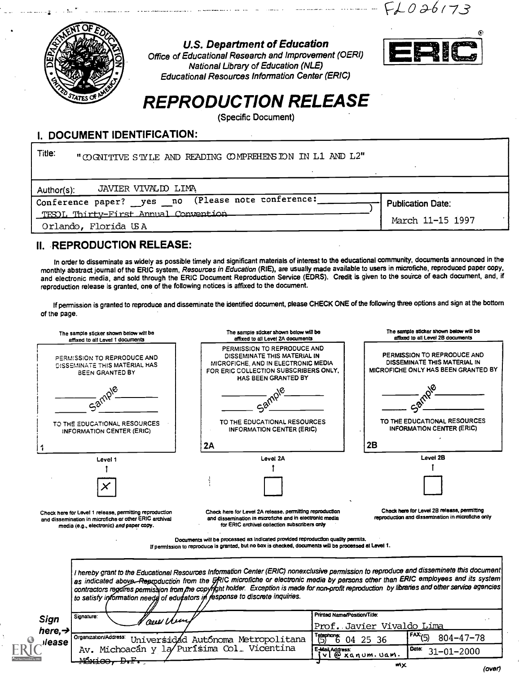$FLO 26173$ 

![](_page_9_Picture_1.jpeg)

U.S. Department of Education Office of Educational Research and Improvement (OERI) National Library of Education (NLE) Educational Resources Information Center (ERIC)

![](_page_9_Picture_3.jpeg)

# REPRODUCTION RELEASE

(Specific Document)

## I. DOCUMENT IDENTIFICATION:

| Title:     | "COGNITIVE STYLE AND READING COMPREHENS DN IN L1 AND L2" |                          |
|------------|----------------------------------------------------------|--------------------------|
| Author(s): | JAVIER VIVALDO LIMA                                      |                          |
|            | Conference paper? yes no (Please note conference:        | <b>Publication Date:</b> |
|            | TESOL Thirty-First Annual Convention                     | March 11-15 1997         |
|            | Orlando, Florida USA                                     |                          |

### II. REPRODUCTION RELEASE:

In order to disseminate as widely as possible timely and significant materials of interest to the educational community, documents announced in the monthly abstract journal of the ERIC system, Resources in Education (RIE), are usually made available to users in microfiche, reproduced paper copy, and electronic media, and sold through the ERIC Document Reproduction Service (EDRS). Credit is given to the source of each document, and, if reproduction release is granted, one of the following notices is affixed to the document.

If permission is granted to reproduce and disseminate the identified document, please CHECK ONE of the following three options and sign at the bottom of the page.

|                                      | The sample sticker shown below will be<br>affixed to all Level 1 documents                                                                                    | The sample sticker shown below will be<br>affixed to all Level 2A documents                                                                                                                                                                                                                                                                                                                                                                                                                                       |                                  | The sample sticker shown below will be<br>affixed to all Level 2B documents                               |
|--------------------------------------|---------------------------------------------------------------------------------------------------------------------------------------------------------------|-------------------------------------------------------------------------------------------------------------------------------------------------------------------------------------------------------------------------------------------------------------------------------------------------------------------------------------------------------------------------------------------------------------------------------------------------------------------------------------------------------------------|----------------------------------|-----------------------------------------------------------------------------------------------------------|
|                                      | PERMISSION TO REPRODUCE AND<br><b>DISSEMINATE THIS MATERIAL HAS</b><br><b>BEEN GRANTED BY</b>                                                                 | PERMISSION TO REPRODUCE AND<br>DISSEMINATE THIS MATERIAL IN<br>MICROFICHE AND IN ELECTRONIC MEDIA<br>FOR ERIC COLLECTION SUBSCRIBERS ONLY.<br>HAS BEEN GRANTED BY                                                                                                                                                                                                                                                                                                                                                 |                                  | PERMISSION TO REPRODUCE AND<br>DISSEMINATE THIS MATERIAL IN<br><b>MICROFICHE ONLY HAS BEEN GRANTED BY</b> |
|                                      | Sample                                                                                                                                                        |                                                                                                                                                                                                                                                                                                                                                                                                                                                                                                                   |                                  |                                                                                                           |
|                                      | TO THE EDUCATIONAL RESOURCES<br>INFORMATION CENTER (ERIC)                                                                                                     | TO THE EDUCATIONAL RESOURCES<br>INFORMATION CENTER (ERIC)                                                                                                                                                                                                                                                                                                                                                                                                                                                         |                                  | TO THE EDUCATIONAL RESOURCES<br><b>INFORMATION CENTER (ERIC)</b>                                          |
|                                      |                                                                                                                                                               | 2A                                                                                                                                                                                                                                                                                                                                                                                                                                                                                                                | 2B                               |                                                                                                           |
|                                      | Level 1                                                                                                                                                       | Level 2A                                                                                                                                                                                                                                                                                                                                                                                                                                                                                                          |                                  | Level 2B                                                                                                  |
|                                      |                                                                                                                                                               |                                                                                                                                                                                                                                                                                                                                                                                                                                                                                                                   |                                  |                                                                                                           |
|                                      |                                                                                                                                                               |                                                                                                                                                                                                                                                                                                                                                                                                                                                                                                                   |                                  |                                                                                                           |
|                                      | Check here for Level 1 release, permitting reproduction<br>and dissemination in microfiche or other ERIC archival<br>media (e.g., electronic) and paper copy. | Check here for Level 2A release, permitting reproduction<br>and dissemination in microfiche and in electronic media<br>for ERIC archival collection subscribers only                                                                                                                                                                                                                                                                                                                                              |                                  | Check here for Level 2B release, permitting<br>reproduction and dissemination in microfiche only          |
|                                      |                                                                                                                                                               | Documents will be processed as indicated provided reproduction quality permits.<br>If permission to reproduce is granted, but no box is checked, documents will be processed at Level 1.                                                                                                                                                                                                                                                                                                                          |                                  |                                                                                                           |
|                                      |                                                                                                                                                               | I hereby grant to the Educational Resources Information Center (ERIC) nonexclusive permission to reproduce and disseminete this document<br>as indicated above. Reproduction from the ERIC microfiche or electronic media by persons other than ERIC employees and its system<br>contractors regalies permission from the copyright holder. Exception is made for non-profit reproduction by libraries and other service agencies<br>to satisfy information needa of educators in response to discrete inquiries. |                                  |                                                                                                           |
|                                      | Signature:                                                                                                                                                    |                                                                                                                                                                                                                                                                                                                                                                                                                                                                                                                   | Printed Name/Position/Title:     |                                                                                                           |
| Sign                                 | ceel Vi                                                                                                                                                       |                                                                                                                                                                                                                                                                                                                                                                                                                                                                                                                   | Prof. Javier Vivaldo Lima        |                                                                                                           |
| here, $\rightarrow$<br><b>Jlease</b> | Organization/Address:                                                                                                                                         | Universidad Autónoma Metropolitana                                                                                                                                                                                                                                                                                                                                                                                                                                                                                | Tetephone: 04 25 36              | $\overline{\operatorname{fix}}_{(5)}$<br>$804 - 47 - 78$                                                  |
|                                      |                                                                                                                                                               | Av. Michoacán y la/Purísima Col. Vicentina                                                                                                                                                                                                                                                                                                                                                                                                                                                                        | E-Mail Address:<br>vl@xanum.vam. | Date:<br>$31 - 01 - 2000$                                                                                 |
|                                      |                                                                                                                                                               |                                                                                                                                                                                                                                                                                                                                                                                                                                                                                                                   |                                  | mx                                                                                                        |